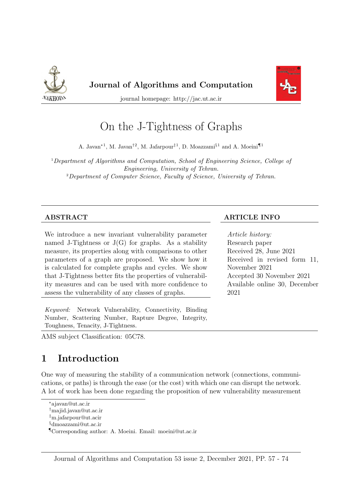



journal homepage: http://jac.ut.ac.ir

# On the J-Tightness of Graphs

A. Javan<sup>\*1</sup>, M. Javan<sup>†2</sup>, M. Jafarpour<sup>‡1</sup>, D. Moazzami<sup>§1</sup> and A. Moeini¶<sup>1</sup>

<sup>1</sup>Department of Algorithms and Computation, School of Engineering Science, College of Engineering, University of Tehran. <sup>2</sup>Department of Computer Science, Faculty of Science, University of Tehran.

#### ABSTRACT ARTICLE INFO

We introduce a new invariant vulnerability parameter named J-Tightness or  $J(G)$  for graphs. As a stability measure, its properties along with comparisons to other parameters of a graph are proposed. We show how it is calculated for complete graphs and cycles. We show that J-Tightness better fits the properties of vulnerability measures and can be used with more confidence to assess the vulnerability of any classes of graphs.

Keyword: Network Vulnerability, Connectivity, Binding Number, Scattering Number, Rapture Degree, Integrity, Toughness, Tenacity, J-Tightness.

# Article history:

Research paper Received 28, June 2021 Received in revised form 11, November 2021 Accepted 30 November 2021 Available online 30, December 2021

AMS subject Classification: 05C78.

# 1 Introduction

One way of measuring the stability of a communication network (connections, communications, or paths) is through the ease (or the cost) with which one can disrupt the network. A lot of work has been done regarding the proposition of new vulnerability measurement

<sup>∗</sup>ajavan@ut.ac.ir

<sup>†</sup>majid.javan@ut.ac.ir

<sup>‡</sup>m.jafarpour@ut.acir

<sup>§</sup>dmoazzami@ut.ac.ir

<sup>¶</sup>Corresponding author: A. Moeini. Email: moeini@ut.ac.ir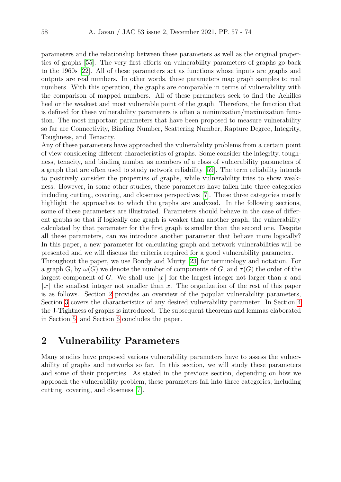parameters and the relationship between these parameters as well as the original properties of graphs [\[55\]](#page-17-0). The very first efforts on vulnerability parameters of graphs go back to the 1960s [\[22\]](#page-15-0). All of these parameters act as functions whose inputs are graphs and outputs are real numbers. In other words, these parameters map graph samples to real numbers. With this operation, the graphs are comparable in terms of vulnerability with the comparison of mapped numbers. All of these parameters seek to find the Achilles heel or the weakest and most vulnerable point of the graph. Therefore, the function that is defined for these vulnerability parameters is often a minimization/maximization function. The most important parameters that have been proposed to measure vulnerability so far are Connectivity, Binding Number, Scattering Number, Rapture Degree, Integrity, Toughness, and Tenacity.

Any of these parameters have approached the vulnerability problems from a certain point of view considering different characteristics of graphs. Some consider the integrity, toughness, tenacity, and binding number as members of a class of vulnerability parameters of a graph that are often used to study network reliability [\[59\]](#page-17-1). The term reliability intends to positively consider the properties of graphs, while vulnerability tries to show weakness. However, in some other studies, these parameters have fallen into three categories including cutting, covering, and closeness perspectives [\[7\]](#page-14-0). These three categories mostly highlight the approaches to which the graphs are analyzed. In the following sections, some of these parameters are illustrated. Parameters should behave in the case of different graphs so that if logically one graph is weaker than another graph, the vulnerability calculated by that parameter for the first graph is smaller than the second one. Despite all these parameters, can we introduce another parameter that behave more logically? In this paper, a new parameter for calculating graph and network vulnerabilities will be presented and we will discuss the criteria required for a good vulnerability parameter.

Throughout the paper, we use Bondy and Murty [\[23\]](#page-15-1) for terminology and notation. For a graph G, by  $\omega(G)$  we denote the number of components of G, and  $\tau(G)$  the order of the largest component of G. We shall use |x| for the largest integer not larger than x and  $\lceil x \rceil$  the smallest integer not smaller than x. The organization of the rest of this paper is as follows. Section [2](#page-1-0) provides an overview of the popular vulnerability parameters, Section [3](#page-5-0) covers the characteristics of any desired vulnerability parameter. In Section [4](#page-7-0) the J-Tightness of graphs is introduced. The subsequent theorems and lemmas elaborated in Section [5,](#page-8-0) and Section [6](#page-13-0) concludes the paper.

# <span id="page-1-0"></span>2 Vulnerability Parameters

Many studies have proposed various vulnerability parameters have to assess the vulnerability of graphs and networks so far. In this section, we will study these parameters and some of their properties. As stated in the previous section, depending on how we approach the vulnerability problem, these parameters fall into three categories, including cutting, covering, and closeness [\[7\]](#page-14-0).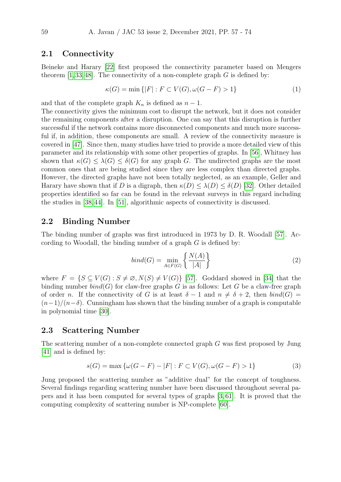#### 2.1 Connectivity

Beineke and Harary [\[22\]](#page-15-0) first proposed the connectivity parameter based on Mengers theorem  $[1, 33, 48]$  $[1, 33, 48]$  $[1, 33, 48]$ . The connectivity of a non-complete graph G is defined by:

$$
\kappa(G) = \min\{|F| : F \subset V(G), \omega(G - F) > 1\}
$$
\n<sup>(1)</sup>

and that of the complete graph  $K_n$  is defined as  $n-1$ .

The connectivity gives the minimum cost to disrupt the network, but it does not consider the remaining components after a disruption. One can say that this disruption is further successful if the network contains more disconnected components and much more successful if, in addition, these components are small. A review of the connectivity measure is covered in [\[47\]](#page-16-1). Since then, many studies have tried to provide a more detailed view of this parameter and its relationship with some other properties of graphs. In [\[56\]](#page-17-3), Whitney has shown that  $\kappa(G) \leq \lambda(G) \leq \delta(G)$  for any graph G. The undirected graphs are the most common ones that are being studied since they are less complex than directed graphs. However, the directed graphs have not been totally neglected, as an example, Geller and Harary have shown that if D is a digraph, then  $\kappa(D) \leq \lambda(D) \leq \delta(D)$  [\[32\]](#page-15-2). Other detailed properties identified so far can be found in the relevant surveys in this regard including the studies in [\[38,](#page-16-2) [44\]](#page-16-3). In [\[51\]](#page-17-4), algorithmic aspects of connectivity is discussed.

#### 2.2 Binding Number

The binding number of graphs was first introduced in 1973 by D. R. Woodall [\[57\]](#page-17-5). According to Woodall, the binding number of a graph  $G$  is defined by:

$$
bind(G) = \min_{A \in F(G)} \left\{ \frac{N(A)}{|A|} \right\} \tag{2}
$$

where  $F = \{S \subseteq V(G) : S \neq \emptyset, N(S) \neq V(G)\}\$  [\[57\]](#page-17-5). Goddard showed in [\[34\]](#page-16-4) that the binding number  $bind(G)$  for claw-free graphs G is as follows: Let G be a claw-free graph of order n. If the connectivity of G is at least  $\delta - 1$  and  $n \neq \delta + 2$ , then  $bind(G)$  $(n-1)/(n-\delta)$ . Cunningham has shown that the binding number of a graph is computable in polynomial time [\[30\]](#page-15-3).

#### 2.3 Scattering Number

The scattering number of a non-complete connected graph G was first proposed by Jung [\[41\]](#page-16-5) and is defined by:

$$
s(G) = \max \{ \omega(G - F) - |F| : F \subset V(G), \omega(G - F) > 1 \}
$$
 (3)

Jung proposed the scattering number as "additive dual" for the concept of toughness. Several findings regarding scattering number have been discussed throughout several papers and it has been computed for several types of graphs [\[3,](#page-14-2) [61\]](#page-17-6). It is proved that the computing complexity of scattering number is NP-complete [\[60\]](#page-17-7).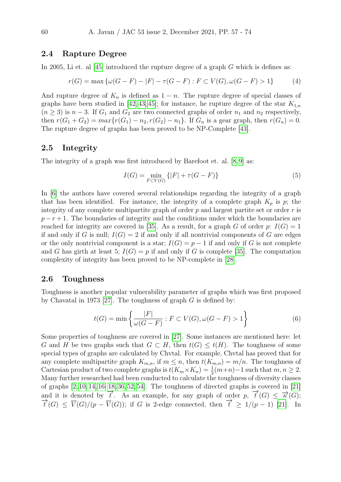#### 2.4 Rapture Degree

In 2005, Li et. al  $[45]$  introduced the rupture degree of a graph G which is defines as:

$$
r(G) = \max \{ \omega(G - F) - |F| - \tau(G - F) : F \subset V(G), \omega(G - F) > 1 \}
$$
 (4)

And rupture degree of  $K_n$  is defined as  $1 - n$ . The rupture degree of special classes of graphs have been studied in [\[42,](#page-16-7) [43,](#page-16-8) [45\]](#page-16-6); for instance, he rupture degree of the star  $K_{1,n}$  $(n \geq 3)$  is  $n-3$ . If  $G_1$  and  $G_2$  are two connected graphs of order  $n_1$  and  $n_2$  respectively, then  $r(G_1 + G_2) = max\{r(G_1) - n_2, r(G_2) - n_1\}$ . If  $G_n$  is a gear graph, then  $r(G_n) = 0$ . The rupture degree of graphs has been proved to be NP-Complete [\[43\]](#page-16-8).

#### 2.5 Integrity

The integrity of a graph was first introduced by Barefoot et. al. [\[8,](#page-14-3) [9\]](#page-14-4) as:

$$
I(G) = \min_{F \subset V(G)} \{|F| + \tau(G - F)\}\tag{5}
$$

In [\[6\]](#page-14-5) the authors have covered several relationships regarding the integrity of a graph that has been identified. For instance, the integrity of a complete graph  $K_p$  is p; the integrity of any complete multipartite graph of order  $p$  and largest partite set or order  $r$  is  $p - r + 1$ . The boundaries of integrity and the conditions under which the boundaries are reached for integrity are covered in [\[35\]](#page-16-9). As a result, for a graph G of order p:  $I(G) = 1$ if and only if G is null;  $I(G) = 2$  if and only if all nontrivial components of G are edges or the only nontrivial component is a star;  $I(G) = p - 1$  if and only if G is not complete and G has girth at least 5;  $I(G) = p$  if and only if G is complete [\[35\]](#page-16-9). The computation complexity of integrity has been proved to be NP-complete in [\[28\]](#page-15-4).

#### 2.6 Toughness

Toughness is another popular vulnerability parameter of graphs which was first proposed by Chavatal in 1973 [\[27\]](#page-15-5). The toughness of graph  $G$  is defined by:

$$
t(G) = \min\left\{\frac{|F|}{\omega(G - F)} : F \subset V(G), \omega(G - F) > 1\right\}
$$
(6)

Some properties of toughness are covered in [\[27\]](#page-15-5). Some instances are mentioned here: let G and H be two graphs such that  $G \subset H$ , then  $t(G) \leq t(H)$ . The toughness of some special types of graphs are calculated by Chvtal. For example, Chvtal has proved that for any complete multipartite graph  $K_{m,n}$ , if  $m \leq n$ , then  $t(K_{m,n}) = m/n$ . The toughness of Cartesian product of two complete graphs is  $t(K_m \times K_n) = \frac{1}{2}(m+n)-1$  such that  $m, n \geq 2$ . Many further researched had been conducted to calculate the toughness of diversity classes of graphs  $[2, 10, 14, 16-18, 36, 52, 54]$  $[2, 10, 14, 16-18, 36, 52, 54]$  $[2, 10, 14, 16-18, 36, 52, 54]$  $[2, 10, 14, 16-18, 36, 52, 54]$  $[2, 10, 14, 16-18, 36, 52, 54]$  $[2, 10, 14, 16-18, 36, 52, 54]$  $[2, 10, 14, 16-18, 36, 52, 54]$  $[2, 10, 14, 16-18, 36, 52, 54]$ . The toughness of directed graphs is covered in  $[21]$ and it is denoted by  $\overrightarrow{t}$ . As an example, for any graph of order p,  $\overrightarrow{t}(G) \leq \overrightarrow{\kappa}(G)$ ;  $\overrightarrow{t}(G) \leq \overrightarrow{V}(G)/(p - \overrightarrow{V}(G))$ ; if G is 2-edge connected, then  $\overrightarrow{t} \geq 1/(p - 1)$  [\[21\]](#page-15-8). In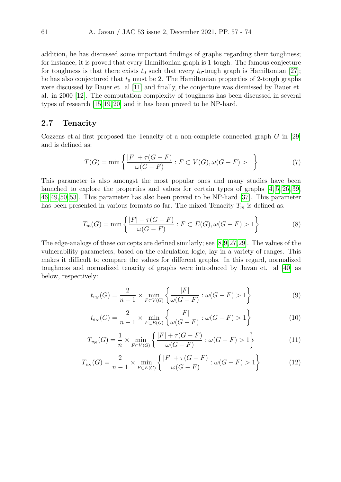addition, he has discussed some important findings of graphs regarding their toughness; for instance, it is proved that every Hamiltonian graph is 1-tough. The famous conjecture for toughness is that there exists  $t_0$  such that every  $t_0$ -tough graph is Hamiltonian [\[27\]](#page-15-5); he has also conjectured that  $t_0$  must be 2. The Hamiltonian properties of 2-tough graphs were discussed by Bauer et. al [\[11\]](#page-14-9) and finally, the conjecture was dismissed by Bauer et. al. in 2000 [\[12\]](#page-14-10). The computation complexity of toughness has been discussed in several types of research [\[15,](#page-14-11) [19,](#page-15-9) [20\]](#page-15-10) and it has been proved to be NP-hard.

### 2.7 Tenacity

Cozzens et.al first proposed the Tenacity of a non-complete connected graph G in [\[29\]](#page-15-11) and is defined as:

$$
T(G) = \min\left\{\frac{|F| + \tau(G - F)}{\omega(G - F)} : F \subset V(G), \omega(G - F) > 1\right\}
$$
\n<sup>(7)</sup>

This parameter is also amongst the most popular ones and many studies have been launched to explore the properties and values for certain types of graphs [\[4,](#page-14-12) [5,](#page-14-13) [26,](#page-15-12) [39,](#page-16-11) [46,](#page-16-12) [49,](#page-17-10) [50,](#page-17-11) [53\]](#page-17-12). This parameter has also been proved to be NP-hard [\[37\]](#page-16-13). This parameter has been presented in various formats so far. The mixed Tenacity  $T_m$  is defined as:

$$
T_m(G) = \min\left\{\frac{|F| + \tau(G - F)}{\omega(G - F)} : F \subset E(G), \omega(G - F) > 1\right\}
$$
\n(8)

The edge-analogs of these concepts are defined similarly; see [\[8,](#page-14-3)[9,](#page-14-4)[27,](#page-15-5)[29\]](#page-15-11). The values of the vulnerability parameters, based on the calculation logic, lay in a variety of ranges. This makes it difficult to compare the values for different graphs. In this regard, normalized toughness and normalized tenacity of graphs were introduced by Javan et. al [\[40\]](#page-16-14) as below, respectively:

$$
t_{v_N}(G) = \frac{2}{n-1} \times \min_{F \subset V(G)} \left\{ \frac{|F|}{\omega(G-F)} : \omega(G-F) > 1 \right\}
$$
 (9)

$$
t_{e_N}(G) = \frac{2}{n-1} \times \min_{F \subset E(G)} \left\{ \frac{|F|}{\omega(G-F)} : \omega(G-F) > 1 \right\}
$$
 (10)

$$
T_{v_N}(G) = \frac{1}{n} \times \min_{F \subset V(G)} \left\{ \frac{|F| + \tau(G - F)}{\omega(G - F)} : \omega(G - F) > 1 \right\}
$$
(11)

$$
T_{e_N}(G) = \frac{2}{n-1} \times \min_{F \subset E(G)} \left\{ \frac{|F| + \tau(G - F)}{\omega(G - F)} : \omega(G - F) > 1 \right\}
$$
(12)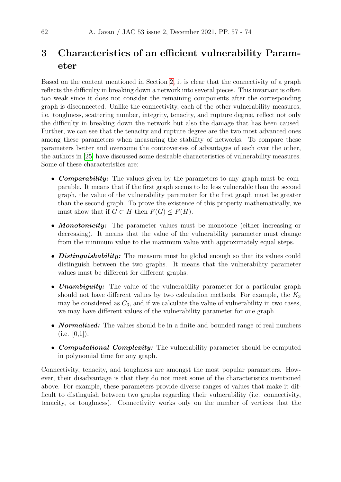# <span id="page-5-0"></span>3 Characteristics of an efficient vulnerability Parameter

Based on the content mentioned in Section [2,](#page-1-0) it is clear that the connectivity of a graph reflects the difficulty in breaking down a network into several pieces. This invariant is often too weak since it does not consider the remaining components after the corresponding graph is disconnected. Unlike the connectivity, each of the other vulnerability measures, i.e. toughness, scattering number, integrity, tenacity, and rupture degree, reflect not only the difficulty in breaking down the network but also the damage that has been caused. Further, we can see that the tenacity and rupture degree are the two most advanced ones among these parameters when measuring the stability of networks. To compare these parameters better and overcome the controversies of advantages of each over the other, the authors in [\[25\]](#page-15-13) have discussed some desirable characteristics of vulnerability measures. Some of these characteristics are:

- **Comparability:** The values given by the parameters to any graph must be comparable. It means that if the first graph seems to be less vulnerable than the second graph, the value of the vulnerability parameter for the first graph must be greater than the second graph. To prove the existence of this property mathematically, we must show that if  $G \subset H$  then  $F(G) \leq F(H)$ .
- **Monotonicity:** The parameter values must be monotone (either increasing or decreasing). It means that the value of the vulnerability parameter must change from the minimum value to the maximum value with approximately equal steps.
- *Distinguishability:* The measure must be global enough so that its values could distinguish between the two graphs. It means that the vulnerability parameter values must be different for different graphs.
- **Unambiguity:** The value of the vulnerability parameter for a particular graph should not have different values by two calculation methods. For example, the  $K_3$ may be considered as  $C_3$ , and if we calculate the value of vulnerability in two cases, we may have different values of the vulnerability parameter for one graph.
- **Normalized:** The values should be in a finite and bounded range of real numbers  $(i.e. [0,1]).$
- **Computational Complexity:** The vulnerability parameter should be computed in polynomial time for any graph.

Connectivity, tenacity, and toughness are amongst the most popular parameters. However, their disadvantage is that they do not meet some of the characteristics mentioned above. For example, these parameters provide diverse ranges of values that make it difficult to distinguish between two graphs regarding their vulnerability (i.e. connectivity, tenacity, or toughness). Connectivity works only on the number of vertices that the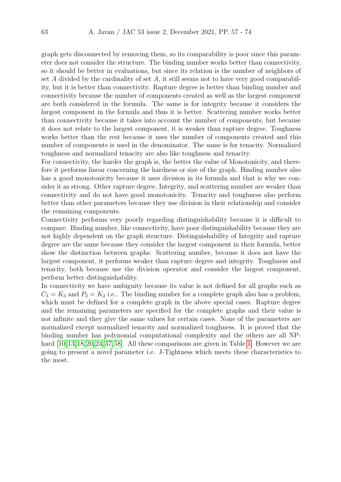graph gets disconnected by removing them, so its comparability is poor since this parameter does not consider the structure. The binding number works better than connectivity, so it should be better in evaluations, but since its relation is the number of neighbors of set A divided by the cardinality of set  $A$ , it still seems not to have very good comparability, but it is better than connectivity. Rapture degree is better than binding number and connectivity because the number of components created as well as the largest component are both considered in the formula. The same is for integrity because it considers the largest component in the formula and thus it is better. Scattering number works better than connectivity because it takes into account the number of components, but because it does not relate to the largest component, it is weaker than rapture degree. Toughness works better than the rest because it uses the number of components created and this number of components is used in the denominator. The same is for tenacity. Normalized toughness and normalized tenacity are also like toughness and tenacity.

For connectivity, the harder the graph is, the better the value of Monotonicity, and therefore it performs linear concerning the hardness or size of the graph. Binding number also has a good monotonicity because it uses division in its formula and that is why we consider it as strong. Other rapture degree, Integrity, and scattering number are weaker than connectivity and do not have good monotonicity. Tenacity and toughness also perform better than other parameters because they use division in their relationship and consider the remaining components.

Connectivity performs very poorly regarding distinguishability because it is difficult to compare. Binding number, like connectivity, have poor distinguishability because they are not highly dependent on the graph structure. Distinguishability of Integrity and rapture degree are the same because they consider the largest component in their formula, better show the distinction between graphs. Scattering number, because it does not have the largest component, it performs weaker than rapture degree and integrity. Toughness and tenacity, both because use the division operator and consider the largest component, perform better distinguishability.

In connectivity we have ambiguity because its value is not defined for all graphs such as  $C_3 = K_3$  and  $P_2 = K_2$  i.e.. The binding number for a complete graph also has a problem, which must be defined for a complete graph in the above special cases. Rapture degree and the remaining parameters are specified for the complete graphs and their value is not infinite and they give the same values for certain cases. None of the parameters are normalized except normalized tenacity and normalized toughness. It is proved that the binding number has polynomial computational complexity and the others are all NPhard  $[10, 13, 18, 20, 24, 37, 58]$  $[10, 13, 18, 20, 24, 37, 58]$  $[10, 13, 18, 20, 24, 37, 58]$  $[10, 13, 18, 20, 24, 37, 58]$  $[10, 13, 18, 20, 24, 37, 58]$  $[10, 13, 18, 20, 24, 37, 58]$  $[10, 13, 18, 20, 24, 37, 58]$  $[10, 13, 18, 20, 24, 37, 58]$  $[10, 13, 18, 20, 24, 37, 58]$  $[10, 13, 18, 20, 24, 37, 58]$  $[10, 13, 18, 20, 24, 37, 58]$  $[10, 13, 18, 20, 24, 37, 58]$  $[10, 13, 18, 20, 24, 37, 58]$ . All these comparisons are given in Table [1.](#page-7-1) However we are going to present a novel parameter i.e. J-Tightness which meets these characteristics to the most.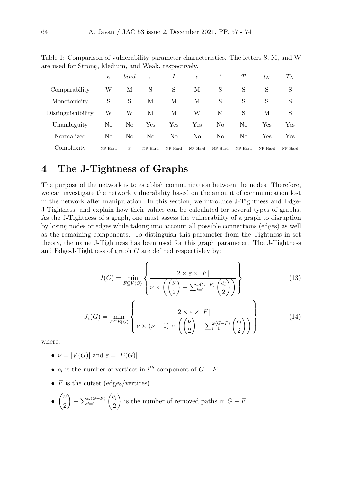|                    | $\kappa$ | bind         | $\boldsymbol{r}$ | I                    | $\mathcal{S}_{\mathcal{S}}$ | t              | T       | $t_N$                | $T_N$   |
|--------------------|----------|--------------|------------------|----------------------|-----------------------------|----------------|---------|----------------------|---------|
| Comparability      | W        | М            | S                | S                    | М                           | S              | S       | S                    | S       |
| Monotonicity       | S        | S            | М                | М                    | М                           | S              | S       | S                    | S       |
| Distinguishibility | W        | W            | М                | М                    | W                           | М              | S       | М                    | S       |
| Unambiguity        | No       | No           | Yes              | $\operatorname{Yes}$ | Yes                         | No             | No      | Yes                  | Yes     |
| Normalized         | No       | No           | No               | No                   | No                          | N <sub>o</sub> | No      | $\operatorname{Yes}$ | Yes     |
| Complexity         | NP-Hard  | $\mathbf{P}$ | NP-Hard          | $NP-Hard$            | $NP-Hard$                   | NP-Hard        | NP-Hard | NP-Hard              | NP-Hard |

<span id="page-7-1"></span>Table 1: Comparison of vulnerability parameter characteristics. The letters S, M, and W are used for Strong, Medium, and Weak, respectively.

# <span id="page-7-0"></span>4 The J-Tightness of Graphs

The purpose of the network is to establish communication between the nodes. Therefore, we can investigate the network vulnerability based on the amount of communication lost in the network after manipulation. In this section, we introduce J-Tightness and Edge-J-Tightness, and explain how their values can be calculated for several types of graphs. As the J-Tightness of a graph, one must assess the vulnerability of a graph to disruption by losing nodes or edges while taking into account all possible connections (edges) as well as the remaining components. To distinguish this parameter from the Tightness in set theory, the name J-Tightness has been used for this graph parameter. The J-Tightness and Edge-J-Tightness of graph G are defined respectivley by:

<span id="page-7-3"></span>
$$
J(G) = \min_{F \subseteq V(G)} \left\{ \frac{2 \times \varepsilon \times |F|}{\nu \times \left( \binom{\nu}{2} - \sum_{i=1}^{\omega(G-F)} \binom{c_i}{2} \right)} \right\} \tag{13}
$$

$$
J_e(G) = \min_{F \subseteq E(G)} \left\{ \frac{2 \times \varepsilon \times |F|}{\nu \times (\nu - 1) \times \left( \binom{\nu}{2} - \sum_{i=1}^{\omega(G-F)} \binom{c_i}{2} \right)} \right\}
$$
(14)

<span id="page-7-2"></span>where:

- $\nu = |V(G)|$  and  $\varepsilon = |E(G)|$
- $c_i$  is the number of vertices in  $i^{th}$  component of  $G F$
- $F$  is the cutset (edges/vertices)

• 
$$
\binom{\nu}{2} - \sum_{i=1}^{\omega(G-F)} \binom{c_i}{2}
$$
 is the number of removed paths in  $G - F$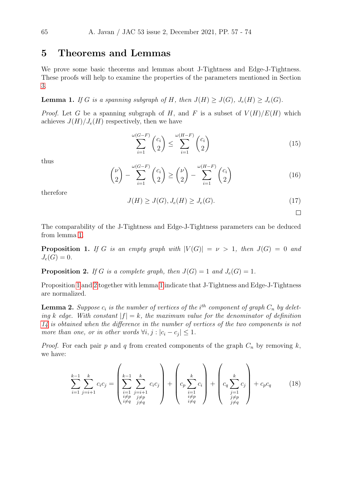### <span id="page-8-0"></span>5 Theorems and Lemmas

We prove some basic theorems and lemmas about J-Tightness and Edge-J-Tightness. These proofs will help to examine the properties of the parameters mentioned in Section [3.](#page-5-0)

<span id="page-8-1"></span>**Lemma 1.** If G is a spanning subgraph of H, then  $J(H) \geq J(G)$ ,  $J_e(H) \geq J_e(G)$ .

*Proof.* Let G be a spanning subgraph of H, and F is a subset of  $V(H)/E(H)$  which achieves  $J(H)/J_e(H)$  respectively, then we have

$$
\sum_{i=1}^{\omega(G-F)} \binom{c_i}{2} \le \sum_{i=1}^{\omega(H-F)} \binom{c_i}{2} \tag{15}
$$

thus

$$
\binom{\nu}{2} - \sum_{i=1}^{\omega(G-F)} \binom{c_i}{2} \ge \binom{\nu}{2} - \sum_{i=1}^{\omega(H-F)} \binom{c_i}{2} \tag{16}
$$

therefore

$$
J(H) \ge J(G), J_e(H) \ge J_e(G). \tag{17}
$$

 $\Box$ 

The comparability of the J-Tightness and Edge-J-Tightness parameters can be deduced from lemma [1.](#page-8-1)

<span id="page-8-2"></span>**Proposition 1.** If G is an empty graph with  $|V(G)| = \nu > 1$ , then  $J(G) = 0$  and  $J_e(G) = 0.$ 

<span id="page-8-3"></span>**Proposition 2.** If G is a complete graph, then  $J(G) = 1$  and  $J_e(G) = 1$ .

Proposition [1](#page-8-2) and [2](#page-8-3) together with lemma [1](#page-8-1) indicate that J-Tightness and Edge-J-Tightness are normalized.

<span id="page-8-4"></span>**Lemma 2.** Suppose  $c_i$  is the number of vertices of the i<sup>th</sup> component of graph  $C_n$  by deleting k edge. With constant  $|f| = k$ , the maximum value for the denominator of definition [14](#page-7-2) is obtained when the difference in the number of vertices of the two components is not more than one, or in other words  $\forall i, j : |c_i - c_j| \leq 1$ .

*Proof.* For each pair p and q from created components of the graph  $C_n$  by removing k, we have:

$$
\sum_{i=1}^{k-1} \sum_{j=i+1}^{k} c_i c_j = \left( \sum_{\substack{i=1 \ i \neq p}}^{k-1} \sum_{\substack{j=i+1 \ j \neq p}}^{k} c_i c_j \right) + \left( c_p \sum_{\substack{i=1 \ i \neq p}}^{k} c_i \right) + \left( c_q \sum_{\substack{j=1 \ j \neq p}}^{k} c_j \right) + c_p c_q \tag{18}
$$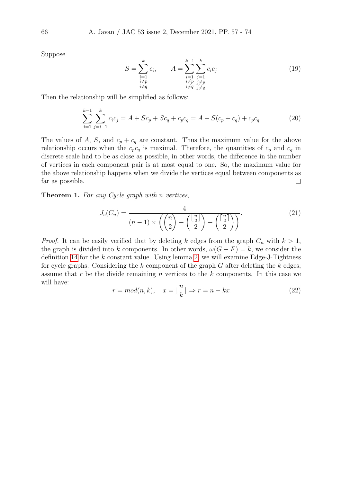Suppose

$$
S = \sum_{\substack{i=1 \ i \neq p}}^{k} c_i, \qquad A = \sum_{\substack{i=1 \ i \neq p}}^{k-1} \sum_{\substack{j=1 \ i \neq p}}^{k} c_i c_j
$$

$$
\sum_{\substack{i \neq p \ i \neq q}}^{k} c_i c_j
$$
 (19)

Then the relationship will be simplified as follows:

$$
\sum_{i=1}^{k-1} \sum_{j=i+1}^{k} c_i c_j = A + Sc_p + Sc_q + c_p c_q = A + S(c_p + c_q) + c_p c_q \tag{20}
$$

The values of A, S, and  $c_p + c_q$  are constant. Thus the maximum value for the above relationship occurs when the  $c_p c_q$  is maximal. Therefore, the quantities of  $c_p$  and  $c_q$  in discrete scale had to be as close as possible, in other words, the difference in the number of vertices in each component pair is at most equal to one. So, the maximum value for the above relationship happens when we divide the vertices equal between components as far as possible.  $\Box$ 

<span id="page-9-0"></span>Theorem 1. For any Cycle graph with n vertices,

$$
J_e(C_n) = \frac{4}{(n-1)\times\left(\binom{n}{2} - \binom{\lfloor \frac{n}{2} \rfloor}{2} - \binom{\lceil \frac{n}{2} \rceil}{2}\right)}.
$$
\n(21)

*Proof.* It can be easily verified that by deleting k edges from the graph  $C_n$  with  $k > 1$ , the graph is divided into k components. In other words,  $\omega(G - F) = k$ , we consider the definition [14](#page-7-2) for the  $k$  constant value. Using lemma [2,](#page-8-4) we will examine Edge-J-Tightness for cycle graphs. Considering the  $k$  component of the graph  $G$  after deleting the  $k$  edges, assume that r be the divide remaining n vertices to the  $k$  components. In this case we will have:

$$
r = mod(n, k), \quad x = \lfloor \frac{n}{k} \rfloor \Rightarrow r = n - kx \tag{22}
$$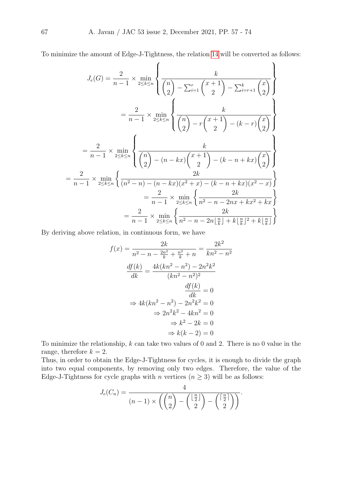To minimize the amount of Edge-J-Tightness, the relation [14](#page-7-2) will be converted as follows:

 $\overline{\phantom{0}}$ 

$$
J_e(G) = \frac{2}{n-1} \times \min_{2 \le k \le n} \left\{ \frac{k}{\binom{n}{2} - \sum_{i=1}^r \binom{x+1}{2} - \sum_{i=r+1}^k \binom{x}{2}} \right\}
$$
  

$$
= \frac{2}{n-1} \times \min_{2 \le k \le n} \left\{ \frac{k}{\binom{n}{2} - r \binom{x+1}{2} - (k-r) \binom{x}{2}} \right\}
$$
  

$$
= \frac{2}{n-1} \times \min_{2 \le k \le n} \left\{ \frac{k}{\binom{n}{2} - (n - kx) \binom{x+1}{2} - (k-n+kx) \binom{x}{2}} \right\}
$$
  

$$
= \frac{2}{n-1} \times \min_{2 \le k \le n} \left\{ \frac{2k}{(n^2 - n) - (n - kx)(x^2 + x) - (k - n + kx)(x^2 - x)} \right\}
$$
  

$$
= \frac{2}{n-1} \times \min_{2 \le k \le n} \left\{ \frac{2k}{n^2 - n - 2nx + kx^2 + kx} \right\}
$$
  

$$
= \frac{2}{n-1} \times \min_{2 \le k \le n} \left\{ \frac{2k}{n^2 - n - 2n \lfloor \frac{n}{k} \rfloor + k \lfloor \frac{n}{k} \rfloor^2 + k \lfloor \frac{n}{k} \rfloor} \right\}
$$

By deriving above relation, in continuous form, we have

$$
f(x) = \frac{2k}{n^2 - n - \frac{2n^2}{k} + \frac{n^2}{k} + n} = \frac{2k^2}{kn^2 - n^2}
$$

$$
\frac{df(k)}{dk} = \frac{4k(kn^2 - n^2) - 2n^2k^2}{(kn^2 - n^2)^2}
$$

$$
\frac{df(k)}{dk} = 0
$$

$$
\Rightarrow 4k(kn^2 - n^2) - 2n^2k^2 = 0
$$

$$
\Rightarrow 2n^2k^2 - 4kn^2 = 0
$$

$$
\Rightarrow k^2 - 2k = 0
$$

$$
\Rightarrow k(k - 2) = 0
$$

To minimize the relationship,  $k$  can take two values of 0 and 2. There is no 0 value in the range, therefore  $k = 2$ .

Thus, in order to obtain the Edge-J-Tightness for cycles, it is enough to divide the graph into two equal components, by removing only two edges. Therefore, the value of the Edge-J-Tightness for cycle graphs with n vertices  $(n \geq 3)$  will be as follows:

$$
J_e(C_n) = \frac{4}{(n-1)\times\left(\binom{n}{2} - \binom{\lfloor \frac{n}{2} \rfloor}{2} - \binom{\lceil \frac{n}{2} \rceil}{2}\right)}.
$$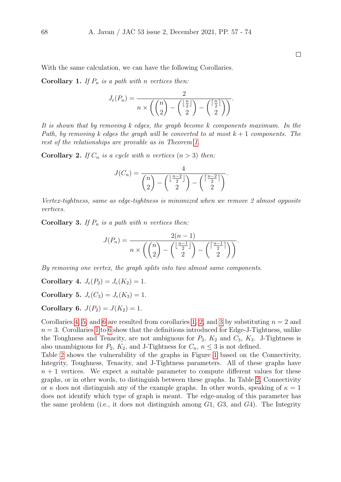$\Box$ 

<span id="page-11-3"></span>With the same calculation, we can have the following Corollaries.

**Corollary 1.** If  $P_n$  is a path with n vertices then:

$$
J_e(P_n) = \frac{2}{n \times \left( \binom{n}{2} - \binom{\lfloor \frac{n}{2} \rfloor}{2} - \binom{\lceil \frac{n}{2} \rceil}{2} \right)}.
$$

It is shown that by removing k edges, the graph become k components maximum. In the Path, by removing k edges the graph will be converted to at most  $k + 1$  components. The rest of the relationships are provable as in Theorem [1.](#page-9-0)

<span id="page-11-4"></span>**Corollary 2.** If  $C_n$  is a cycle with n vertices  $(n > 3)$  then:

$$
J(C_n) = \frac{4}{\binom{n}{2} - \binom{\lfloor \frac{n-2}{2} \rfloor}{2} - \binom{\lceil \frac{n-2}{2} \rceil}{2}}.
$$

Vertex-tightness, same as edge-tightness is minimized when we remove 2 almost opposite vertices.

<span id="page-11-5"></span>**Corollary 3.** If  $P_n$  is a path with n vertices then:

$$
J(P_n) = \frac{2(n-1)}{n \times \left( \binom{n}{2} - \binom{\lfloor \frac{n-1}{2} \rfloor}{2} - \binom{\lceil \frac{n-1}{2} \rceil}{2} \right)}.
$$

By removing one vertex, the graph splits into two almost same components.

<span id="page-11-0"></span>Corollary 4.  $J_e(P_2) = J_e(K_2) = 1$ .

<span id="page-11-1"></span>Corollary 5.  $J_e(C_3) = J_e(K_3) = 1$ .

<span id="page-11-2"></span>Corollary 6.  $J(P_2) = J(K_2) = 1$ .

Corollaries [4,](#page-11-0) [5,](#page-11-1) and [6](#page-11-2) are resulted from corollaries [1,](#page-11-3) [2,](#page-11-4) and [3](#page-11-5) by substituting  $n = 2$  and  $n = 3$ . Corollaries [1](#page-11-3) to [6](#page-11-2) show that the definitions introduced for Edge-J-Tightness, unlike the Toughness and Tenacity, are not ambiguous for  $P_2$ ,  $K_2$  and  $C_3$ ,  $K_3$ . J-Tightness is also unambiguous for  $P_2$ ,  $K_2$ , and J-Tightness for  $C_n$ ,  $n \leq 3$  is not defined.

Table [2](#page-12-0) shows the vulnerability of the graphs in Figure [1](#page-12-1) based on the Connectivity, Integrity, Toughness, Tenacity, and J-Tightness parameters. All of these graphs have  $n + 1$  vertices. We expect a suitable parameter to compute different values for these graphs, or in other words, to distinguish between these graphs. In Table [2,](#page-12-0) Connectivity or  $\kappa$  does not distinguish any of the example graphs. In other words, speaking of  $\kappa = 1$ does not identify which type of graph is meant. The edge-analog of this parameter has the same problem (i.e., it does not distinguish among  $G1, G3$ , and  $G4$ ). The Integrity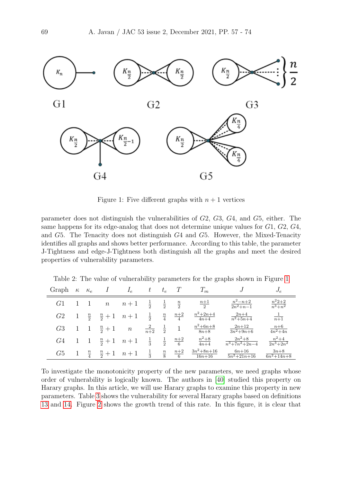

<span id="page-12-1"></span>Figure 1: Five different graphs with  $n + 1$  vertices

parameter does not distinguish the vulnerabilities of G2, G3, G4, and G5, either. The same happens for its edge-analog that does not determine unique values for G1, G2, G4, and G5. The Tenacity does not distinguish G4 and G5. However, the Mixed-Tenacity identifies all graphs and shows better performance. According to this table, the parameter J-Tightness and edge-J-Tightness both distinguish all the graphs and meet the desired properties of vulnerability parameters.

| Graph | $\kappa$ | $\kappa_e$    | 1                | $I_e$            | t               | $t_e$         |                   | $T_m$                          | $J_{\rm s}$                           | $J_e$                           |
|-------|----------|---------------|------------------|------------------|-----------------|---------------|-------------------|--------------------------------|---------------------------------------|---------------------------------|
| G1    |          |               | $\boldsymbol{n}$ | $n+1$            | $\frac{1}{2}$   | $\frac{1}{2}$ | $\frac{n}{2}$     | $\frac{n+1}{2}$                | $n^2 - n + 2$<br>$\frac{2n^2+n-1}{n}$ | $\frac{n^22+2}{n^3+n^2}$        |
| G2    | T        | $\frac{n}{2}$ | $\frac{n}{2}+1$  | $n+1$            | $\frac{1}{2}$   | $\frac{n}{4}$ | $\underline{n+2}$ | $n^2 + 2n + 4$<br>$4n+4$       | $2n+4$<br>$n^2+5n+4$                  | $\frac{1}{n+1}$                 |
| G3    |          |               | $\frac{n}{2}+1$  | $\boldsymbol{n}$ | $\frac{2}{n+2}$ |               |                   | $n^2 + 6n + 8$<br>$8n + 8$     | $2n+12$<br>$\frac{3n^2+9n+6}{n}$      | $n+6$<br>$\frac{4n^2+4n}{n}$    |
| G4    |          |               | $\frac{n}{2}+1$  | $n+1$            | $\frac{1}{3}$   | $\frac{1}{2}$ | $\frac{n+2}{6}$   | $n^2+8$<br>$4n+4$              | $2n^2+8$<br>$n^3 + 7n^2 + 2n - 4$     | $n^2+4$<br>$\sqrt{2n^3 + 2n^2}$ |
| G5    |          | $\frac{n}{4}$ | $\frac{n}{2}+1$  | $n+1$            | $\frac{1}{3}$   | $\frac{n}{8}$ | $n+2$<br>6        | $3n^2 + 8n + 16$<br>$16n + 16$ | $6n+16$<br>$\sqrt{5n^2+21n+16}$       | $3n+8$<br>$\sqrt{6n^2+14n+8}$   |

<span id="page-12-0"></span>Table 2: The value of vulnerability parameters for the graphs shown in Figure [1](#page-12-1)

To investigate the monotonicity property of the new parameters, we need graphs whose order of vulnerability is logically known. The authors in [\[40\]](#page-16-14) studied this property on Harary graphs. In this article, we will use Harary graphs to examine this property in new parameters. Table [3](#page-13-1) shows the vulnerability for several Harary graphs based on definitions [13](#page-7-3) and [14.](#page-7-2) Figure [2](#page-13-2) shows the growth trend of this rate. In this figure, it is clear that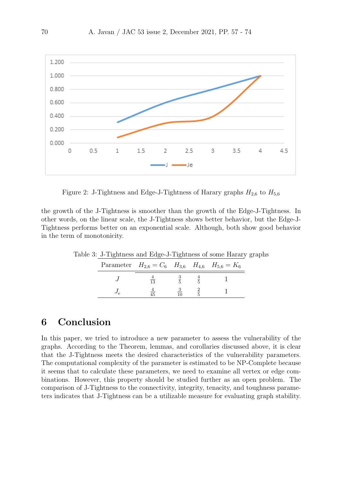

<span id="page-13-2"></span>Figure 2: J-Tightness and Edge-J-Tightness of Harary graphs  $H_{2,6}$  to  $H_{5,6}$ 

the growth of the J-Tightness is smoother than the growth of the Edge-J-Tightness. In other words, on the linear scale, the J-Tightness shows better behavior, but the Edge-J-Tightness performs better on an exponential scale. Although, both show good behavior in the term of monotonicity.

Table 3: J-Tightness and Edge-J-Tightness of some Harary graphs

<span id="page-13-1"></span>

|  | Parameter $H_{2,6} = C_6$ $H_{3,6}$ $H_{4,6}$ $H_{5,6} = K_6$ |  |  |
|--|---------------------------------------------------------------|--|--|
|  |                                                               |  |  |
|  |                                                               |  |  |

# <span id="page-13-0"></span>6 Conclusion

In this paper, we tried to introduce a new parameter to assess the vulnerability of the graphs. According to the Theorem, lemmas, and corollaries discussed above, it is clear that the J-Tightness meets the desired characteristics of the vulnerability parameters. The computational complexity of the parameter is estimated to be NP-Complete because it seems that to calculate these parameters, we need to examine all vertex or edge combinations. However, this property should be studied further as an open problem. The comparison of J-Tightness to the connectivity, integrity, tenacity, and toughness parameters indicates that J-Tightness can be a utilizable measure for evaluating graph stability.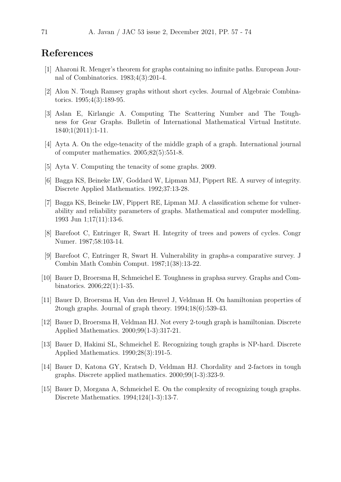# References

- <span id="page-14-1"></span>[1] Aharoni R. Menger's theorem for graphs containing no infinite paths. European Journal of Combinatorics. 1983;4(3):201-4.
- <span id="page-14-6"></span>[2] Alon N. Tough Ramsey graphs without short cycles. Journal of Algebraic Combinatorics. 1995;4(3):189-95.
- <span id="page-14-2"></span>[3] Aslan E, Kirlangic A. Computing The Scattering Number and The Toughness for Gear Graphs. Bulletin of International Mathematical Virtual Institute. 1840;1(2011):1-11.
- <span id="page-14-12"></span>[4] Ayta A. On the edge-tenacity of the middle graph of a graph. International journal of computer mathematics. 2005;82(5):551-8.
- <span id="page-14-13"></span>[5] Ayta V. Computing the tenacity of some graphs. 2009.
- <span id="page-14-5"></span>[6] Bagga KS, Beineke LW, Goddard W, Lipman MJ, Pippert RE. A survey of integrity. Discrete Applied Mathematics. 1992;37:13-28.
- <span id="page-14-0"></span>[7] Bagga KS, Beineke LW, Pippert RE, Lipman MJ. A classification scheme for vulnerability and reliability parameters of graphs. Mathematical and computer modelling. 1993 Jun 1;17(11):13-6.
- <span id="page-14-3"></span>[8] Barefoot C, Entringer R, Swart H. Integrity of trees and powers of cycles. Congr Numer. 1987;58:103-14.
- <span id="page-14-4"></span>[9] Barefoot C, Entringer R, Swart H. Vulnerability in graphs-a comparative survey. J Combin Math Combin Comput. 1987;1(38):13-22.
- <span id="page-14-7"></span>[10] Bauer D, Broersma H, Schmeichel E. Toughness in graphsa survey. Graphs and Combinatorics. 2006;22(1):1-35.
- <span id="page-14-9"></span>[11] Bauer D, Broersma H, Van den Heuvel J, Veldman H. On hamiltonian properties of 2tough graphs. Journal of graph theory. 1994;18(6):539-43.
- <span id="page-14-10"></span>[12] Bauer D, Broersma H, Veldman HJ. Not every 2-tough graph is hamiltonian. Discrete Applied Mathematics. 2000;99(1-3):317-21.
- <span id="page-14-14"></span>[13] Bauer D, Hakimi SL, Schmeichel E. Recognizing tough graphs is NP-hard. Discrete Applied Mathematics. 1990;28(3):191-5.
- <span id="page-14-8"></span>[14] Bauer D, Katona GY, Kratsch D, Veldman HJ. Chordality and 2-factors in tough graphs. Discrete applied mathematics. 2000;99(1-3):323-9.
- <span id="page-14-11"></span>[15] Bauer D, Morgana A, Schmeichel E. On the complexity of recognizing tough graphs. Discrete Mathematics. 1994;124(1-3):13-7.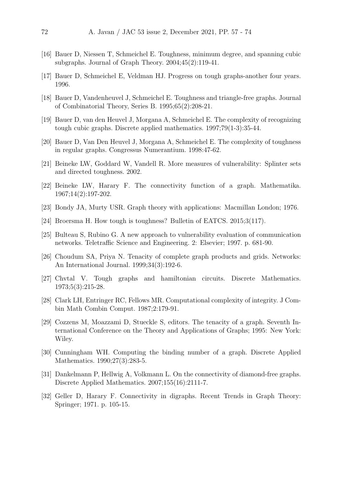- <span id="page-15-6"></span>[16] Bauer D, Niessen T, Schmeichel E. Toughness, minimum degree, and spanning cubic subgraphs. Journal of Graph Theory. 2004;45(2):119-41.
- [17] Bauer D, Schmeichel E, Veldman HJ. Progress on tough graphs-another four years. 1996.
- <span id="page-15-7"></span>[18] Bauer D, Vandenheuvel J, Schmeichel E. Toughness and triangle-free graphs. Journal of Combinatorial Theory, Series B. 1995;65(2):208-21.
- <span id="page-15-9"></span>[19] Bauer D, van den Heuvel J, Morgana A, Schmeichel E. The complexity of recognizing tough cubic graphs. Discrete applied mathematics. 1997;79(1-3):35-44.
- <span id="page-15-10"></span>[20] Bauer D, Van Den Heuvel J, Morgana A, Schmeichel E. The complexity of toughness in regular graphs. Congressus Numerantium. 1998:47-62.
- <span id="page-15-8"></span>[21] Beineke LW, Goddard W, Vandell R. More measures of vulnerability: Splinter sets and directed toughness. 2002.
- <span id="page-15-0"></span>[22] Beineke LW, Harary F. The connectivity function of a graph. Mathematika. 1967;14(2):197-202.
- <span id="page-15-1"></span>[23] Bondy JA, Murty USR. Graph theory with applications: Macmillan London; 1976.
- <span id="page-15-14"></span>[24] Broersma H. How tough is toughness? Bulletin of EATCS. 2015;3(117).
- <span id="page-15-13"></span>[25] Bulteau S, Rubino G. A new approach to vulnerability evaluation of communication networks. Teletraffic Science and Engineering. 2: Elsevier; 1997. p. 681-90.
- <span id="page-15-12"></span>[26] Choudum SA, Priya N. Tenacity of complete graph products and grids. Networks: An International Journal. 1999;34(3):192-6.
- <span id="page-15-5"></span>[27] Chvtal V. Tough graphs and hamiltonian circuits. Discrete Mathematics. 1973;5(3):215-28.
- <span id="page-15-4"></span>[28] Clark LH, Entringer RC, Fellows MR. Computational complexity of integrity. J Combin Math Combin Comput. 1987;2:179-91.
- <span id="page-15-11"></span>[29] Cozzens M, Moazzami D, Stueckle S, editors. The tenacity of a graph. Seventh International Conference on the Theory and Applications of Graphs; 1995: New York: Wiley.
- <span id="page-15-3"></span>[30] Cunningham WH. Computing the binding number of a graph. Discrete Applied Mathematics. 1990;27(3):283-5.
- [31] Dankelmann P, Hellwig A, Volkmann L. On the connectivity of diamond-free graphs. Discrete Applied Mathematics. 2007;155(16):2111-7.
- <span id="page-15-2"></span>[32] Geller D, Harary F. Connectivity in digraphs. Recent Trends in Graph Theory: Springer; 1971. p. 105-15.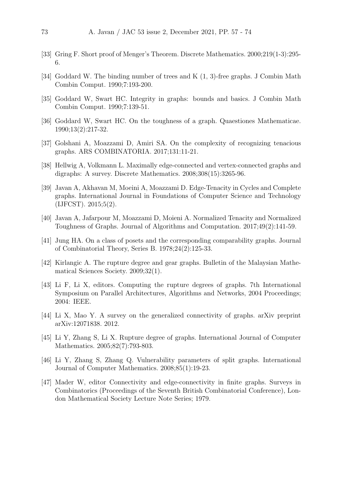- <span id="page-16-0"></span>[33] Gring F. Short proof of Menger's Theorem. Discrete Mathematics. 2000;219(1-3):295- 6.
- <span id="page-16-4"></span>[34] Goddard W. The binding number of trees and K (1, 3)-free graphs. J Combin Math Combin Comput. 1990;7:193-200.
- <span id="page-16-9"></span>[35] Goddard W, Swart HC. Integrity in graphs: bounds and basics. J Combin Math Combin Comput. 1990;7:139-51.
- <span id="page-16-10"></span>[36] Goddard W, Swart HC. On the toughness of a graph. Quaestiones Mathematicae. 1990;13(2):217-32.
- <span id="page-16-13"></span>[37] Golshani A, Moazzami D, Amiri SA. On the complexity of recognizing tenacious graphs. ARS COMBINATORIA. 2017;131:11-21.
- <span id="page-16-2"></span>[38] Hellwig A, Volkmann L. Maximally edge-connected and vertex-connected graphs and digraphs: A survey. Discrete Mathematics. 2008;308(15):3265-96.
- <span id="page-16-11"></span>[39] Javan A, Akhavan M, Moeini A, Moazzami D. Edge-Tenacity in Cycles and Complete graphs. International Journal in Foundations of Computer Science and Technology (IJFCST). 2015;5(2).
- <span id="page-16-14"></span>[40] Javan A, Jafarpour M, Moazzami D, Moieni A. Normalized Tenacity and Normalized Toughness of Graphs. Journal of Algorithms and Computation. 2017;49(2):141-59.
- <span id="page-16-5"></span>[41] Jung HA. On a class of posets and the corresponding comparability graphs. Journal of Combinatorial Theory, Series B. 1978;24(2):125-33.
- <span id="page-16-7"></span>[42] Kirlangic A. The rupture degree and gear graphs. Bulletin of the Malaysian Mathematical Sciences Society. 2009;32(1).
- <span id="page-16-8"></span>[43] Li F, Li X, editors. Computing the rupture degrees of graphs. 7th International Symposium on Parallel Architectures, Algorithms and Networks, 2004 Proceedings; 2004: IEEE.
- <span id="page-16-3"></span>[44] Li X, Mao Y. A survey on the generalized connectivity of graphs. arXiv preprint arXiv:12071838. 2012.
- <span id="page-16-6"></span>[45] Li Y, Zhang S, Li X. Rupture degree of graphs. International Journal of Computer Mathematics. 2005;82(7):793-803.
- <span id="page-16-12"></span>[46] Li Y, Zhang S, Zhang Q. Vulnerability parameters of split graphs. International Journal of Computer Mathematics. 2008;85(1):19-23.
- <span id="page-16-1"></span>[47] Mader W, editor Connectivity and edge-connectivity in finite graphs. Surveys in Combinatorics (Proceedings of the Seventh British Combinatorial Conference), London Mathematical Society Lecture Note Series; 1979.